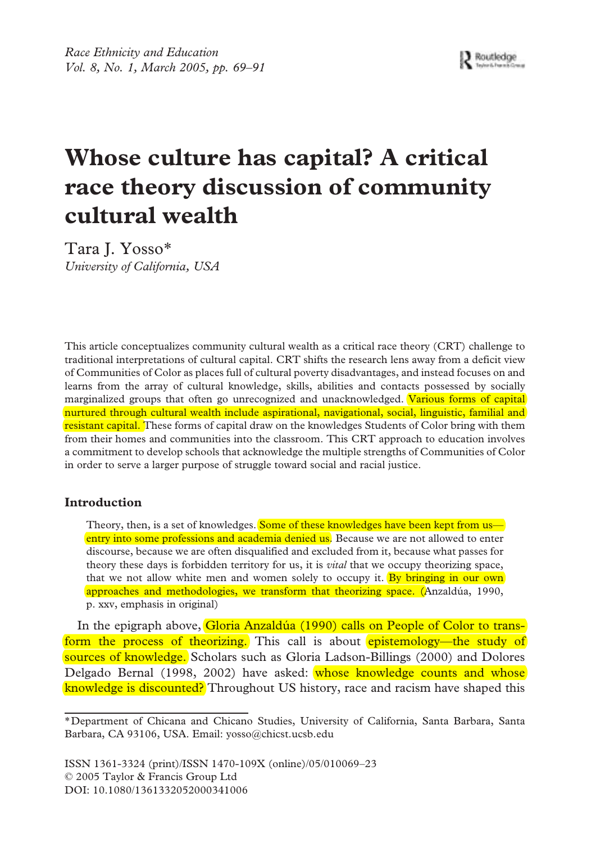# **Whose culture has capital? A critical race theory discussion of community cultural wealth**

Tara I. Yosso\* *University of California, USA*

This article conceptualizes community cultural wealth as a critical race theory (CRT) challenge to traditional interpretations of cultural capital. CRT shifts the research lens away from a deficit view of Communities of Color as places full of cultural poverty disadvantages, and instead focuses on and learns from the array of cultural knowledge, skills, abilities and contacts possessed by socially marginalized groups that often go unrecognized and unacknowledged. Various forms of capital nurtured through cultural wealth include aspirational, navigational, social, linguistic, familial and resistant capital. These forms of capital draw on the knowledges Students of Color bring with them from their homes and communities into the classroom. This CRT approach to education involves a commitment to develop schools that acknowledge the multiple strengths of Communities of Color in order to serve a larger purpose of struggle toward social and racial justice.

# **Introduction**

Theory, then, is a set of knowledges. Some of these knowledges have been kept from us entry into some professions and academia denied us. Because we are not allowed to enter discourse, because we are often disqualified and excluded from it, because what passes for theory these days is forbidden territory for us, it is *vital* that we occupy theorizing space, that we not allow white men and women solely to occupy it. By bringing in our own approaches and methodologies, we transform that theorizing space. (Anzaldúa, 1990, p. xxv, emphasis in original)

In the epigraph above, Gloria Anzaldúa (1990) calls on People of Color to transform the process of theorizing. This call is about epistemology—the study of sources of knowledge. Scholars such as Gloria Ladson-Billings (2000) and Dolores Delgado Bernal (1998, 2002) have asked: whose knowledge counts and whose knowledge is discounted? Throughout US history, race and racism have shaped this

ISSN 1361-3324 (print)/ISSN 1470-109X (online)/05/010069–23 © 2005 Taylor & Francis Group Ltd DOI: 10.1080/1361332052000341006

<sup>\*</sup>Department of Chicana and Chicano Studies, University of California, Santa Barbara, Santa Barbara, CA 93106, USA. Email: yosso@chicst.ucsb.edu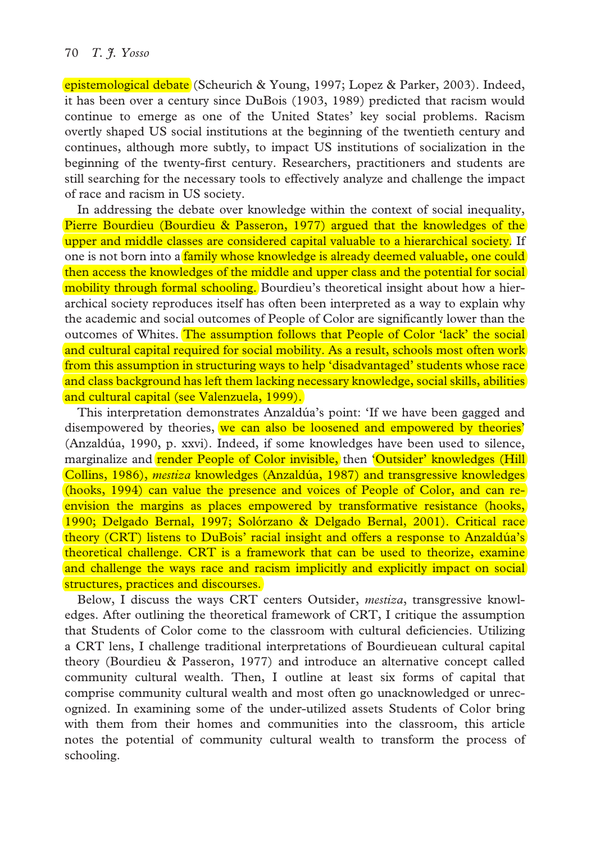## 70 *T. J. Yosso*

epistemological debate (Scheurich & Young, 1997; Lopez & Parker, 2003). Indeed, it has been over a century since DuBois (1903, 1989) predicted that racism would continue to emerge as one of the United States' key social problems. Racism overtly shaped US social institutions at the beginning of the twentieth century and continues, although more subtly, to impact US institutions of socialization in the beginning of the twenty-first century. Researchers, practitioners and students are still searching for the necessary tools to effectively analyze and challenge the impact of race and racism in US society.

In addressing the debate over knowledge within the context of social inequality, Pierre Bourdieu (Bourdieu & Passeron, 1977) argued that the knowledges of the upper and middle classes are considered capital valuable to a hierarchical society. If one is not born into a family whose knowledge is already deemed valuable, one could then access the knowledges of the middle and upper class and the potential for social mobility through formal schooling. Bourdieu's theoretical insight about how a hierarchical society reproduces itself has often been interpreted as a way to explain why the academic and social outcomes of People of Color are significantly lower than the outcomes of Whites. The assumption follows that People of Color 'lack' the social and cultural capital required for social mobility. As a result, schools most often work from this assumption in structuring ways to help 'disadvantaged' students whose race and class background has left them lacking necessary knowledge, social skills, abilities and cultural capital (see Valenzuela, 1999).

This interpretation demonstrates Anzaldúa's point: 'If we have been gagged and disempowered by theories, we can also be loosened and empowered by theories' (Anzaldúa, 1990, p. xxvi). Indeed, if some knowledges have been used to silence, marginalize and render People of Color invisible, then 'Outsider' knowledges (Hill Collins, 1986), *mestiza* knowledges (Anzaldúa, 1987) and transgressive knowledges (hooks, 1994) can value the presence and voices of People of Color, and can reenvision the margins as places empowered by transformative resistance (hooks, 1990; Delgado Bernal, 1997; Solórzano & Delgado Bernal, 2001). Critical race theory (CRT) listens to DuBois' racial insight and offers a response to Anzaldúa's theoretical challenge. CRT is a framework that can be used to theorize, examine and challenge the ways race and racism implicitly and explicitly impact on social structures, practices and discourses.

Below, I discuss the ways CRT centers Outsider, *mestiza*, transgressive knowledges. After outlining the theoretical framework of CRT, I critique the assumption that Students of Color come to the classroom with cultural deficiencies. Utilizing a CRT lens, I challenge traditional interpretations of Bourdieuean cultural capital theory (Bourdieu & Passeron, 1977) and introduce an alternative concept called community cultural wealth. Then, I outline at least six forms of capital that comprise community cultural wealth and most often go unacknowledged or unrecognized. In examining some of the under-utilized assets Students of Color bring with them from their homes and communities into the classroom, this article notes the potential of community cultural wealth to transform the process of schooling.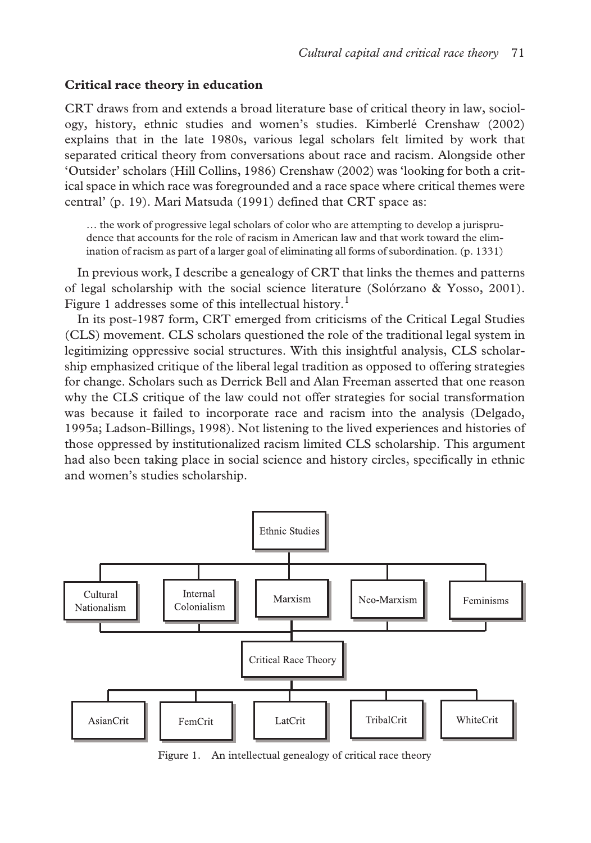## **Critical race theory in education**

CRT draws from and extends a broad literature base of critical theory in law, sociology, history, ethnic studies and women's studies. Kimberlé Crenshaw (2002) explains that in the late 1980s, various legal scholars felt limited by work that separated critical theory from conversations about race and racism. Alongside other 'Outsider' scholars (Hill Collins, 1986) Crenshaw (2002) was 'looking for both a critical space in which race was foregrounded and a race space where critical themes were central' (p. 19). Mari Matsuda (1991) defined that CRT space as:

… the work of progressive legal scholars of color who are attempting to develop a jurisprudence that accounts for the role of racism in American law and that work toward the elimination of racism as part of a larger goal of eliminating all forms of subordination. (p. 1331)

In previous work, I describe a genealogy of CRT that links the themes and patterns of legal scholarship with the social science literature (Solórzano & Yosso, 2001). Figure 1 addresses some of this intellectual history.<sup>1</sup>

In its post-1987 form, CRT emerged from criticisms of the Critical Legal Studies (CLS) movement. CLS scholars questioned the role of the traditional legal system in legitimizing oppressive social structures. With this insightful analysis, CLS scholarship emphasized critique of the liberal legal tradition as opposed to offering strategies for change. Scholars such as Derrick Bell and Alan Freeman asserted that one reason why the CLS critique of the law could not offer strategies for social transformation was because it failed to incorporate race and racism into the analysis (Delgado, 1995a; Ladson-Billings, 1998). Not listening to the lived experiences and histories of those oppressed by institutionalized racism limited CLS scholarship. This argument had also been taking place in social science and history circles, specifically in ethnic and women's studies scholarship.



Figure 1. An intellectual genealogy of critical race theory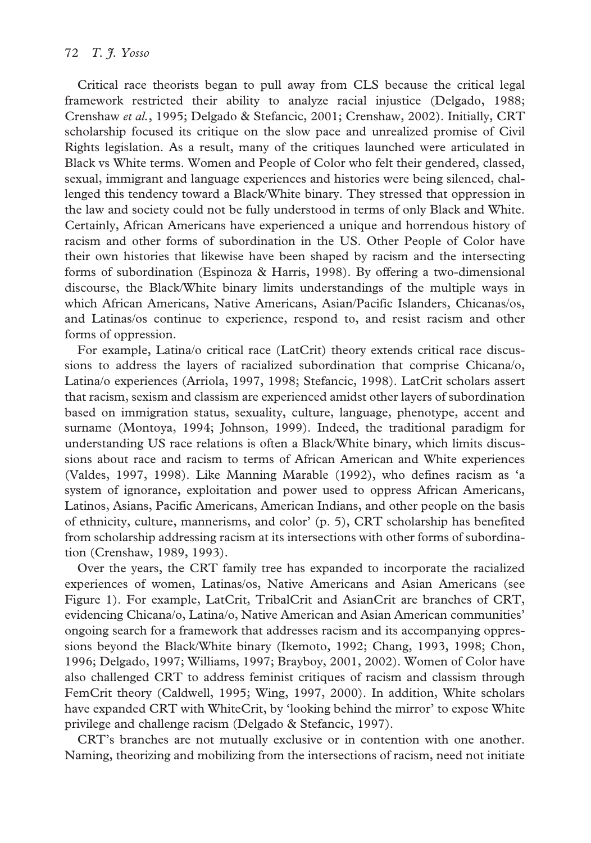# 72 *T. J. Yosso*

Critical race theorists began to pull away from CLS because the critical legal framework restricted their ability to analyze racial injustice (Delgado, 1988; Crenshaw *et al.*, 1995; Delgado & Stefancic, 2001; Crenshaw, 2002). Initially, CRT scholarship focused its critique on the slow pace and unrealized promise of Civil Rights legislation. As a result, many of the critiques launched were articulated in Black vs White terms. Women and People of Color who felt their gendered, classed, sexual, immigrant and language experiences and histories were being silenced, challenged this tendency toward a Black/White binary. They stressed that oppression in the law and society could not be fully understood in terms of only Black and White. Certainly, African Americans have experienced a unique and horrendous history of racism and other forms of subordination in the US. Other People of Color have their own histories that likewise have been shaped by racism and the intersecting forms of subordination (Espinoza & Harris, 1998). By offering a two-dimensional discourse, the Black/White binary limits understandings of the multiple ways in which African Americans, Native Americans, Asian/Pacific Islanders, Chicanas/os, and Latinas/os continue to experience, respond to, and resist racism and other forms of oppression.

For example, Latina/o critical race (LatCrit) theory extends critical race discussions to address the layers of racialized subordination that comprise Chicana/o, Latina/o experiences (Arriola, 1997, 1998; Stefancic, 1998). LatCrit scholars assert that racism, sexism and classism are experienced amidst other layers of subordination based on immigration status, sexuality, culture, language, phenotype, accent and surname (Montoya, 1994; Johnson, 1999). Indeed, the traditional paradigm for understanding US race relations is often a Black/White binary, which limits discussions about race and racism to terms of African American and White experiences (Valdes, 1997, 1998). Like Manning Marable (1992), who defines racism as 'a system of ignorance, exploitation and power used to oppress African Americans, Latinos, Asians, Pacific Americans, American Indians, and other people on the basis of ethnicity, culture, mannerisms, and color' (p. 5), CRT scholarship has benefited from scholarship addressing racism at its intersections with other forms of subordination (Crenshaw, 1989, 1993).

Over the years, the CRT family tree has expanded to incorporate the racialized experiences of women, Latinas/os, Native Americans and Asian Americans (see Figure 1). For example, LatCrit, TribalCrit and AsianCrit are branches of CRT, evidencing Chicana/o, Latina/o, Native American and Asian American communities' ongoing search for a framework that addresses racism and its accompanying oppressions beyond the Black/White binary (Ikemoto, 1992; Chang, 1993, 1998; Chon, 1996; Delgado, 1997; Williams, 1997; Brayboy, 2001, 2002). Women of Color have also challenged CRT to address feminist critiques of racism and classism through FemCrit theory (Caldwell, 1995; Wing, 1997, 2000). In addition, White scholars have expanded CRT with WhiteCrit, by 'looking behind the mirror' to expose White privilege and challenge racism (Delgado & Stefancic, 1997).

CRT's branches are not mutually exclusive or in contention with one another. Naming, theorizing and mobilizing from the intersections of racism, need not initiate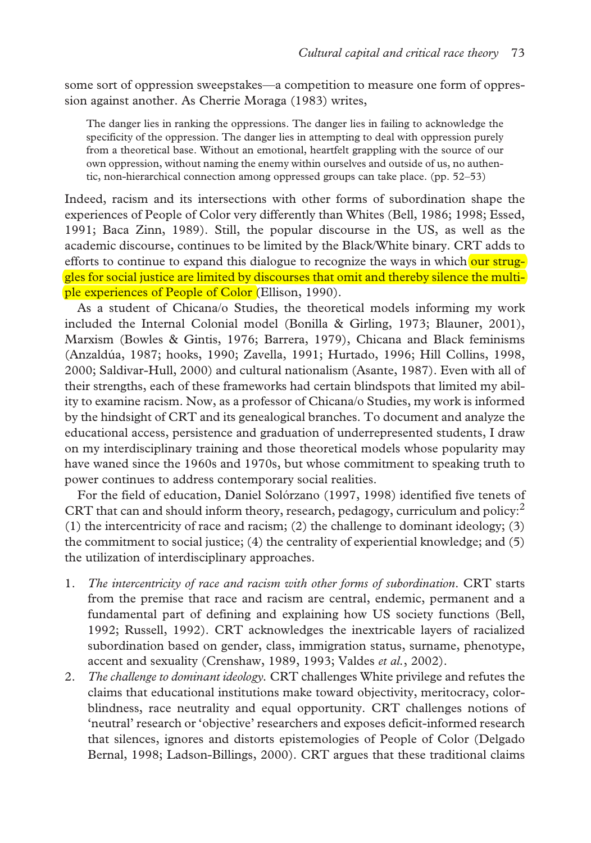some sort of oppression sweepstakes—a competition to measure one form of oppression against another. As Cherrie Moraga (1983) writes,

The danger lies in ranking the oppressions. The danger lies in failing to acknowledge the specificity of the oppression. The danger lies in attempting to deal with oppression purely from a theoretical base. Without an emotional, heartfelt grappling with the source of our own oppression, without naming the enemy within ourselves and outside of us, no authentic, non-hierarchical connection among oppressed groups can take place. (pp. 52–53)

Indeed, racism and its intersections with other forms of subordination shape the experiences of People of Color very differently than Whites (Bell, 1986; 1998; Essed, 1991; Baca Zinn, 1989). Still, the popular discourse in the US, as well as the academic discourse, continues to be limited by the Black/White binary. CRT adds to efforts to continue to expand this dialogue to recognize the ways in which our struggles for social justice are limited by discourses that omit and thereby silence the multiple experiences of People of Color (Ellison, 1990).

As a student of Chicana/o Studies, the theoretical models informing my work included the Internal Colonial model (Bonilla & Girling, 1973; Blauner, 2001), Marxism (Bowles & Gintis, 1976; Barrera, 1979), Chicana and Black feminisms (Anzaldúa, 1987; hooks, 1990; Zavella, 1991; Hurtado, 1996; Hill Collins, 1998, 2000; Saldivar-Hull, 2000) and cultural nationalism (Asante, 1987). Even with all of their strengths, each of these frameworks had certain blindspots that limited my ability to examine racism. Now, as a professor of Chicana/o Studies, my work is informed by the hindsight of CRT and its genealogical branches. To document and analyze the educational access, persistence and graduation of underrepresented students, I draw on my interdisciplinary training and those theoretical models whose popularity may have waned since the 1960s and 1970s, but whose commitment to speaking truth to power continues to address contemporary social realities.

For the field of education, Daniel Solórzano (1997, 1998) identified five tenets of CRT that can and should inform theory, research, pedagogy, curriculum and policy: $2$ (1) the intercentricity of race and racism; (2) the challenge to dominant ideology; (3) the commitment to social justice; (4) the centrality of experiential knowledge; and (5) the utilization of interdisciplinary approaches.

- 1. *The intercentricity of race and racism with other forms of subordination*. CRT starts from the premise that race and racism are central, endemic, permanent and a fundamental part of defining and explaining how US society functions (Bell, 1992; Russell, 1992). CRT acknowledges the inextricable layers of racialized subordination based on gender, class, immigration status, surname, phenotype, accent and sexuality (Crenshaw, 1989, 1993; Valdes *et al.*, 2002).
- 2. *The challenge to dominant ideology.* CRT challenges White privilege and refutes the claims that educational institutions make toward objectivity, meritocracy, colorblindness, race neutrality and equal opportunity. CRT challenges notions of 'neutral' research or 'objective' researchers and exposes deficit-informed research that silences, ignores and distorts epistemologies of People of Color (Delgado Bernal, 1998; Ladson-Billings, 2000). CRT argues that these traditional claims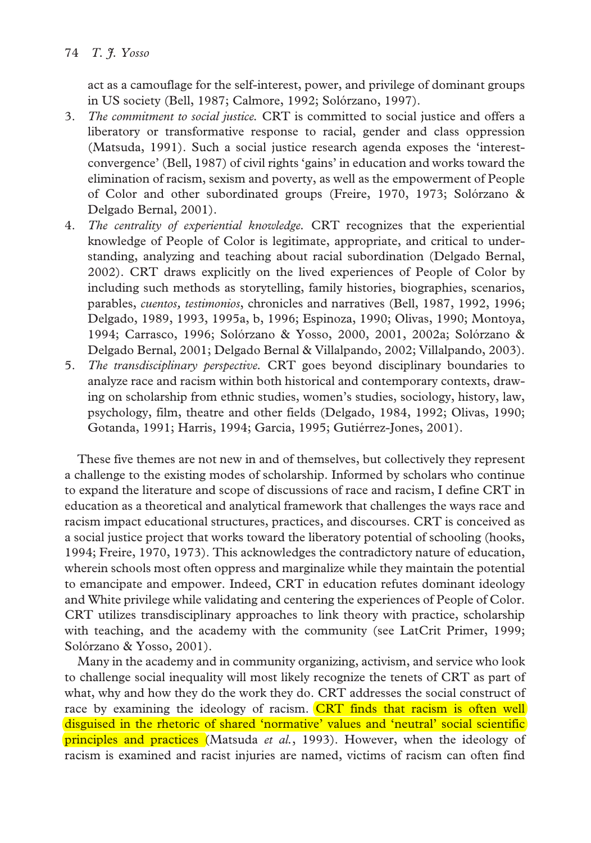act as a camouflage for the self-interest, power, and privilege of dominant groups in US society (Bell, 1987; Calmore, 1992; Solórzano, 1997).

- 3. *The commitment to social justice.* CRT is committed to social justice and offers a liberatory or transformative response to racial, gender and class oppression (Matsuda, 1991). Such a social justice research agenda exposes the 'interestconvergence' (Bell, 1987) of civil rights 'gains' in education and works toward the elimination of racism, sexism and poverty, as well as the empowerment of People of Color and other subordinated groups (Freire, 1970, 1973; Solórzano & Delgado Bernal, 2001).
- 4. *The centrality of experiential knowledge.* CRT recognizes that the experiential knowledge of People of Color is legitimate, appropriate, and critical to understanding, analyzing and teaching about racial subordination (Delgado Bernal, 2002). CRT draws explicitly on the lived experiences of People of Color by including such methods as storytelling, family histories, biographies, scenarios, parables, *cuentos, testimonios*, chronicles and narratives (Bell, 1987, 1992, 1996; Delgado, 1989, 1993, 1995a, b, 1996; Espinoza, 1990; Olivas, 1990; Montoya, 1994; Carrasco, 1996; Solórzano & Yosso, 2000, 2001, 2002a; Solórzano & Delgado Bernal, 2001; Delgado Bernal & Villalpando, 2002; Villalpando, 2003).
- 5. *The transdisciplinary perspective.* CRT goes beyond disciplinary boundaries to analyze race and racism within both historical and contemporary contexts, drawing on scholarship from ethnic studies, women's studies, sociology, history, law, psychology, film, theatre and other fields (Delgado, 1984, 1992; Olivas, 1990; Gotanda, 1991; Harris, 1994; Garcia, 1995; Gutiérrez-Jones, 2001).

These five themes are not new in and of themselves, but collectively they represent a challenge to the existing modes of scholarship. Informed by scholars who continue to expand the literature and scope of discussions of race and racism, I define CRT in education as a theoretical and analytical framework that challenges the ways race and racism impact educational structures, practices, and discourses. CRT is conceived as a social justice project that works toward the liberatory potential of schooling (hooks, 1994; Freire, 1970, 1973). This acknowledges the contradictory nature of education, wherein schools most often oppress and marginalize while they maintain the potential to emancipate and empower. Indeed, CRT in education refutes dominant ideology and White privilege while validating and centering the experiences of People of Color. CRT utilizes transdisciplinary approaches to link theory with practice, scholarship with teaching, and the academy with the community (see LatCrit Primer, 1999; Solórzano & Yosso, 2001).

Many in the academy and in community organizing, activism, and service who look to challenge social inequality will most likely recognize the tenets of CRT as part of what, why and how they do the work they do. CRT addresses the social construct of race by examining the ideology of racism. CRT finds that racism is often well disguised in the rhetoric of shared 'normative' values and 'neutral' social scientific principles and practices (Matsuda *et al.*, 1993). However, when the ideology of racism is examined and racist injuries are named, victims of racism can often find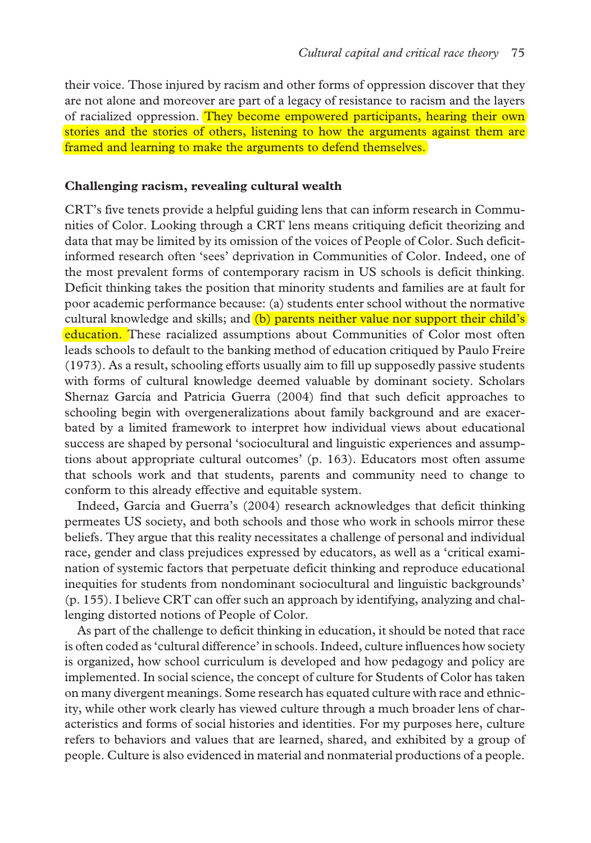their voice. Those injured by racism and other forms of oppression discover that they are not alone and moreover are part of a legacy of resistance to racism and the layers of racialized oppression. They become empowered participants, hearing their own stories and the stories of others, listening to how the arguments against them are framed and learning to make the arguments to defend themselves.

# **Challenging racism, revealing cultural wealth**

CRT's five tenets provide a helpful guiding lens that can inform research in Communities of Color. Looking through a CRT lens means critiquing deficit theorizing and data that may be limited by its omission of the voices of People of Color. Such deficitinformed research often 'sees' deprivation in Communities of Color. Indeed, one of the most prevalent forms of contemporary racism in US schools is deficit thinking. Deficit thinking takes the position that minority students and families are at fault for poor academic performance because: (a) students enter school without the normative cultural knowledge and skills; and  $(b)$  parents neither value nor support their child's education. These racialized assumptions about Communities of Color most often leads schools to default to the banking method of education critiqued by Paulo Freire (1973). As a result, schooling efforts usually aim to fill up supposedly passive students with forms of cultural knowledge deemed valuable by dominant society. Scholars Shernaz García and Patricia Guerra (2004) find that such deficit approaches to schooling begin with overgeneralizations about family background and are exacerbated by a limited framework to interpret how individual views about educational success are shaped by personal 'sociocultural and linguistic experiences and assumptions about appropriate cultural outcomes' (p. 163). Educators most often assume that schools work and that students, parents and community need to change to conform to this already effective and equitable system.

Indeed, García and Guerra's (2004) research acknowledges that deficit thinking permeates US society, and both schools and those who work in schools mirror these beliefs. They argue that this reality necessitates a challenge of personal and individual race, gender and class prejudices expressed by educators, as well as a 'critical examination of systemic factors that perpetuate deficit thinking and reproduce educational inequities for students from nondominant sociocultural and linguistic backgrounds' (p. 155). I believe CRT can offer such an approach by identifying, analyzing and challenging distorted notions of People of Color.

As part of the challenge to deficit thinking in education, it should be noted that race is often coded as 'cultural difference' in schools. Indeed, culture influences how society is organized, how school curriculum is developed and how pedagogy and policy are implemented. In social science, the concept of culture for Students of Color has taken on many divergent meanings. Some research has equated culture with race and ethnicity, while other work clearly has viewed culture through a much broader lens of characteristics and forms of social histories and identities. For my purposes here, culture refers to behaviors and values that are learned, shared, and exhibited by a group of people. Culture is also evidenced in material and nonmaterial productions of a people.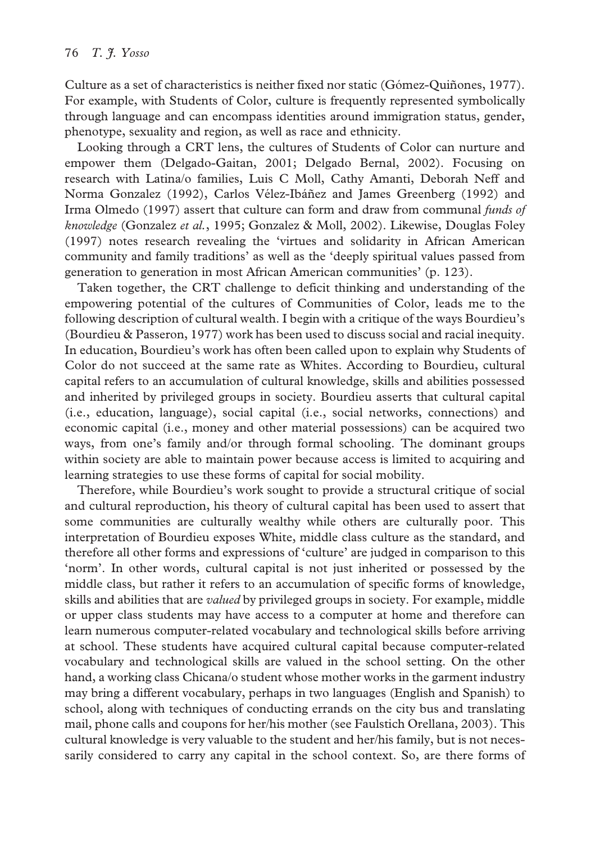Culture as a set of characteristics is neither fixed nor static (Gómez-Quiñones, 1977). For example, with Students of Color, culture is frequently represented symbolically through language and can encompass identities around immigration status, gender, phenotype, sexuality and region, as well as race and ethnicity.

Looking through a CRT lens, the cultures of Students of Color can nurture and empower them (Delgado-Gaitan, 2001; Delgado Bernal, 2002). Focusing on research with Latina/o families, Luis C Moll, Cathy Amanti, Deborah Neff and Norma Gonzalez (1992), Carlos Vélez-Ibáñez and James Greenberg (1992) and Irma Olmedo (1997) assert that culture can form and draw from communal *funds of knowledge* (Gonzalez *et al.*, 1995; Gonzalez & Moll, 2002). Likewise, Douglas Foley (1997) notes research revealing the 'virtues and solidarity in African American community and family traditions' as well as the 'deeply spiritual values passed from generation to generation in most African American communities' (p. 123).

Taken together, the CRT challenge to deficit thinking and understanding of the empowering potential of the cultures of Communities of Color, leads me to the following description of cultural wealth. I begin with a critique of the ways Bourdieu's (Bourdieu & Passeron, 1977) work has been used to discuss social and racial inequity. In education, Bourdieu's work has often been called upon to explain why Students of Color do not succeed at the same rate as Whites. According to Bourdieu, cultural capital refers to an accumulation of cultural knowledge, skills and abilities possessed and inherited by privileged groups in society. Bourdieu asserts that cultural capital (i.e., education, language), social capital (i.e., social networks, connections) and economic capital (i.e., money and other material possessions) can be acquired two ways, from one's family and/or through formal schooling. The dominant groups within society are able to maintain power because access is limited to acquiring and learning strategies to use these forms of capital for social mobility.

Therefore, while Bourdieu's work sought to provide a structural critique of social and cultural reproduction, his theory of cultural capital has been used to assert that some communities are culturally wealthy while others are culturally poor. This interpretation of Bourdieu exposes White, middle class culture as the standard, and therefore all other forms and expressions of 'culture' are judged in comparison to this 'norm'. In other words, cultural capital is not just inherited or possessed by the middle class, but rather it refers to an accumulation of specific forms of knowledge, skills and abilities that are *valued* by privileged groups in society. For example, middle or upper class students may have access to a computer at home and therefore can learn numerous computer-related vocabulary and technological skills before arriving at school. These students have acquired cultural capital because computer-related vocabulary and technological skills are valued in the school setting. On the other hand, a working class Chicana/o student whose mother works in the garment industry may bring a different vocabulary, perhaps in two languages (English and Spanish) to school, along with techniques of conducting errands on the city bus and translating mail, phone calls and coupons for her/his mother (see Faulstich Orellana, 2003). This cultural knowledge is very valuable to the student and her/his family, but is not necessarily considered to carry any capital in the school context. So, are there forms of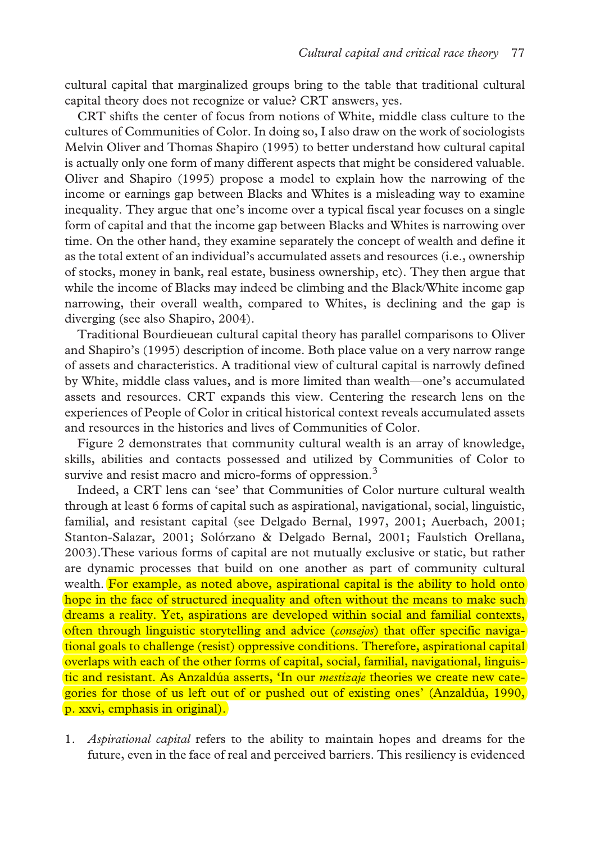cultural capital that marginalized groups bring to the table that traditional cultural capital theory does not recognize or value? CRT answers, yes.

CRT shifts the center of focus from notions of White, middle class culture to the cultures of Communities of Color. In doing so, I also draw on the work of sociologists Melvin Oliver and Thomas Shapiro (1995) to better understand how cultural capital is actually only one form of many different aspects that might be considered valuable. Oliver and Shapiro (1995) propose a model to explain how the narrowing of the income or earnings gap between Blacks and Whites is a misleading way to examine inequality. They argue that one's income over a typical fiscal year focuses on a single form of capital and that the income gap between Blacks and Whites is narrowing over time. On the other hand, they examine separately the concept of wealth and define it as the total extent of an individual's accumulated assets and resources (i.e., ownership of stocks, money in bank, real estate, business ownership, etc). They then argue that while the income of Blacks may indeed be climbing and the Black/White income gap narrowing, their overall wealth, compared to Whites, is declining and the gap is diverging (see also Shapiro, 2004).

Traditional Bourdieuean cultural capital theory has parallel comparisons to Oliver and Shapiro's (1995) description of income. Both place value on a very narrow range of assets and characteristics. A traditional view of cultural capital is narrowly defined by White, middle class values, and is more limited than wealth—one's accumulated assets and resources. CRT expands this view. Centering the research lens on the experiences of People of Color in critical historical context reveals accumulated assets and resources in the histories and lives of Communities of Color.

Figure 2 demonstrates that community cultural wealth is an array of knowledge, skills, abilities and contacts possessed and utilized by Communities of Color to survive and resist macro and micro-forms of oppression.<sup>3</sup>

Indeed, a CRT lens can 'see' that Communities of Color nurture cultural wealth. through at least 6 forms of capital such as aspirational, navigational, social, linguistic, familial, and resistant capital (see Delgado Bernal, 1997, 2001; Auerbach, 2001; Stanton-Salazar, 2001; Solórzano & Delgado Bernal, 2001; Faulstich Orellana, 2003).These various forms of capital are not mutually exclusive or static, but rather are dynamic processes that build on one another as part of community cultural wealth. For example, as noted above, aspirational capital is the ability to hold onto hope in the face of structured inequality and often without the means to make such dreams a reality. Yet, aspirations are developed within social and familial contexts, often through linguistic storytelling and advice (*consejos*) that offer specific navigational goals to challenge (resist) oppressive conditions. Therefore, aspirational capital overlaps with each of the other forms of capital, social, familial, navigational, linguistic and resistant. As Anzaldúa asserts, 'In our *mestizaje* theories we create new categories for those of us left out of or pushed out of existing ones' (Anzaldúa, 1990, p. xxvi, emphasis in original).

1. *Aspirational capital* refers to the ability to maintain hopes and dreams for the future, even in the face of real and perceived barriers. This resiliency is evidenced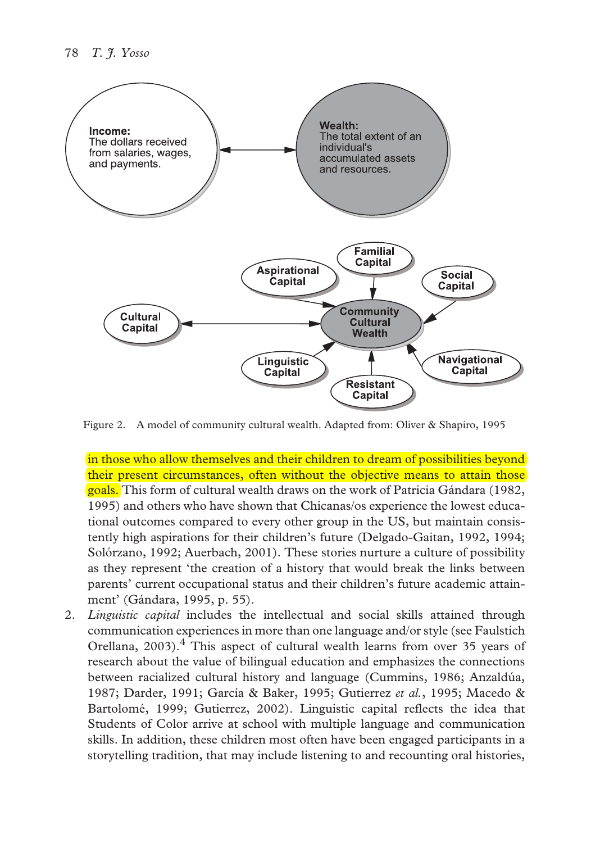

Figure 2. A model of community cultural wealth. Adapted from: Oliver & Shapiro, 1995

in those who allow themselves and their children to dream of possibilities beyond their present circumstances, often without the objective means to attain those goals. This form of cultural wealth draws on the work of Patricia Gándara (1982, 1995) and others who have shown that Chicanas/os experience the lowest educational outcomes compared to every other group in the US, but maintain consistently high aspirations for their children's future (Delgado-Gaitan, 1992, 1994; Solórzano, 1992; Auerbach, 2001). These stories nurture a culture of possibility as they represent 'the creation of a history that would break the links between parents' current occupational status and their children's future academic attainment' (Gándara, 1995, p. 55).

2. *Linguistic capital* includes the intellectual and social skills attained through communication experiences in more than one language and/or style (see Faulstich Orellana,  $2003$ ).<sup>4</sup> This aspect of cultural wealth learns from over 35 years of research about the value of bilingual education and emphasizes the connections between racialized cultural history and language (Cummins, 1986; Anzaldúa, 1987; Darder, 1991; García & Baker, 1995; Gutierrez *et al.*, 1995; Macedo & Bartolomé, 1999; Gutierrez, 2002). Linguistic capital reflects the idea that Students of Color arrive at school with multiple language and communication skills. In addition, these children most often have been engaged participants in a storytelling tradition, that may include listening to and recounting oral histories,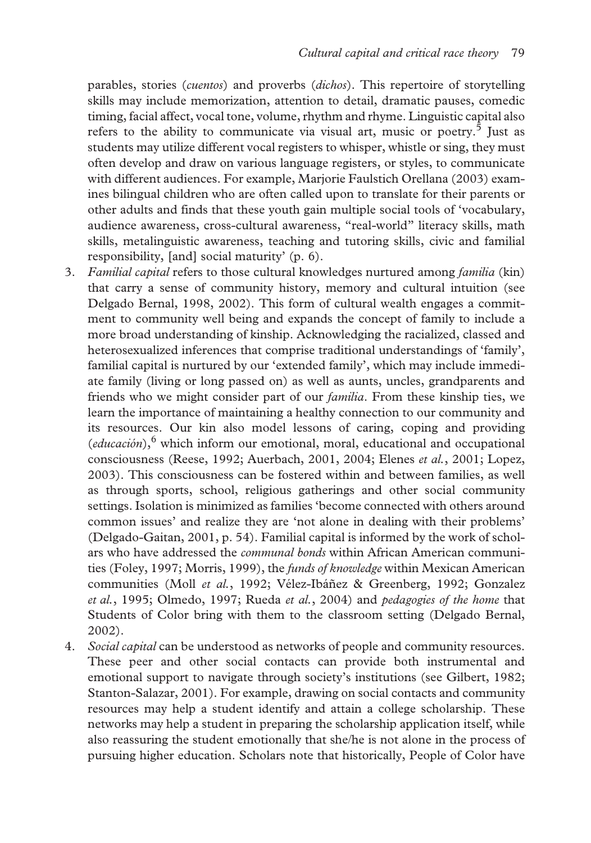parables, stories (*cuentos*) and proverbs (*dichos*). This repertoire of storytelling skills may include memorization, attention to detail, dramatic pauses, comedic timing, facial affect, vocal tone, volume, rhythm and rhyme. Linguistic capital also refers to the ability to communicate via visual art, music or poetry.<sup>5</sup> Just as students may utilize different vocal registers to whisper, whistle or sing, they must often develop and draw on various language registers, or styles, to communicate with different audiences. For example, Marjorie Faulstich Orellana (2003) examines bilingual children who are often called upon to translate for their parents or other adults and finds that these youth gain multiple social tools of 'vocabulary, audience awareness, cross-cultural awareness, "real-world" literacy skills, math skills, metalinguistic awareness, teaching and tutoring skills, civic and familial responsibility, [and] social maturity' (p. 6).

- 3. *Familial capital* refers to those cultural knowledges nurtured among *familia* (kin) that carry a sense of community history, memory and cultural intuition (see Delgado Bernal, 1998, 2002). This form of cultural wealth engages a commitment to community well being and expands the concept of family to include a more broad understanding of kinship. Acknowledging the racialized, classed and heterosexualized inferences that comprise traditional understandings of 'family', familial capital is nurtured by our 'extended family', which may include immediate family (living or long passed on) as well as aunts, uncles, grandparents and friends who we might consider part of our *familia*. From these kinship ties, we learn the importance of maintaining a healthy connection to our community and its resources. Our kin also model lessons of caring, coping and providing  $(educación)$ ,<sup>6</sup> which inform our emotional, moral, educational and occupational consciousness (Reese, 1992; Auerbach, 2001, 2004; Elenes *et al.*, 2001; Lopez, 2003). This consciousness can be fostered within and between families, as well as through sports, school, religious gatherings and other social community settings. Isolation is minimized as families 'become connected with others around common issues' and realize they are 'not alone in dealing with their problems' (Delgado-Gaitan, 2001, p. 54). Familial capital is informed by the work of scholars who have addressed the *communal bonds* within African American communities (Foley, 1997; Morris, 1999), the *funds of knowledge* within Mexican American communities (Moll *et al.*, 1992; Vélez-Ibáñez & Greenberg, 1992; Gonzalez *et al.*, 1995; Olmedo, 1997; Rueda *et al.*, 2004) and *pedagogies of the home* that Students of Color bring with them to the classroom setting (Delgado Bernal, 2002).
- 4. *Social capital* can be understood as networks of people and community resources. These peer and other social contacts can provide both instrumental and emotional support to navigate through society's institutions (see Gilbert, 1982; Stanton-Salazar, 2001). For example, drawing on social contacts and community resources may help a student identify and attain a college scholarship. These networks may help a student in preparing the scholarship application itself, while also reassuring the student emotionally that she/he is not alone in the process of pursuing higher education. Scholars note that historically, People of Color have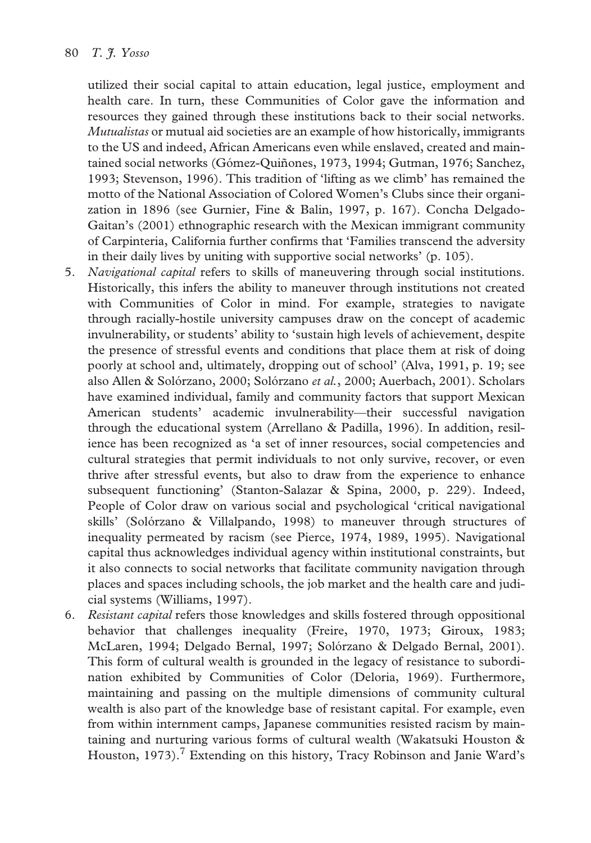utilized their social capital to attain education, legal justice, employment and health care. In turn, these Communities of Color gave the information and resources they gained through these institutions back to their social networks. *Mutualistas* or mutual aid societies are an example of how historically, immigrants to the US and indeed, African Americans even while enslaved, created and maintained social networks (Gómez-Quiñones, 1973, 1994; Gutman, 1976; Sanchez, 1993; Stevenson, 1996). This tradition of 'lifting as we climb' has remained the motto of the National Association of Colored Women's Clubs since their organization in 1896 (see Gurnier, Fine & Balin, 1997, p. 167). Concha Delgado-Gaitan's (2001) ethnographic research with the Mexican immigrant community of Carpinteria, California further confirms that 'Families transcend the adversity in their daily lives by uniting with supportive social networks' (p. 105).

- 5. *Navigational capital* refers to skills of maneuvering through social institutions. Historically, this infers the ability to maneuver through institutions not created with Communities of Color in mind. For example, strategies to navigate through racially-hostile university campuses draw on the concept of academic invulnerability, or students' ability to 'sustain high levels of achievement, despite the presence of stressful events and conditions that place them at risk of doing poorly at school and, ultimately, dropping out of school' (Alva, 1991, p. 19; see also Allen & Solórzano, 2000; Solórzano *et al.*, 2000; Auerbach, 2001). Scholars have examined individual, family and community factors that support Mexican American students' academic invulnerability—their successful navigation through the educational system (Arrellano & Padilla, 1996). In addition, resilience has been recognized as 'a set of inner resources, social competencies and cultural strategies that permit individuals to not only survive, recover, or even thrive after stressful events, but also to draw from the experience to enhance subsequent functioning' (Stanton-Salazar & Spina, 2000, p. 229). Indeed, People of Color draw on various social and psychological 'critical navigational skills' (Solórzano & Villalpando, 1998) to maneuver through structures of inequality permeated by racism (see Pierce, 1974, 1989, 1995). Navigational capital thus acknowledges individual agency within institutional constraints, but it also connects to social networks that facilitate community navigation through places and spaces including schools, the job market and the health care and judicial systems (Williams, 1997).
- 6. *Resistant capital* refers those knowledges and skills fostered through oppositional behavior that challenges inequality (Freire, 1970, 1973; Giroux, 1983; McLaren, 1994; Delgado Bernal, 1997; Solórzano & Delgado Bernal, 2001). This form of cultural wealth is grounded in the legacy of resistance to subordination exhibited by Communities of Color (Deloria, 1969). Furthermore, maintaining and passing on the multiple dimensions of community cultural wealth is also part of the knowledge base of resistant capital. For example, even from within internment camps, Japanese communities resisted racism by maintaining and nurturing various forms of cultural wealth (Wakatsuki Houston & Houston, 1973).<sup>7</sup> Extending on this history, Tracy Robinson and Janie Ward's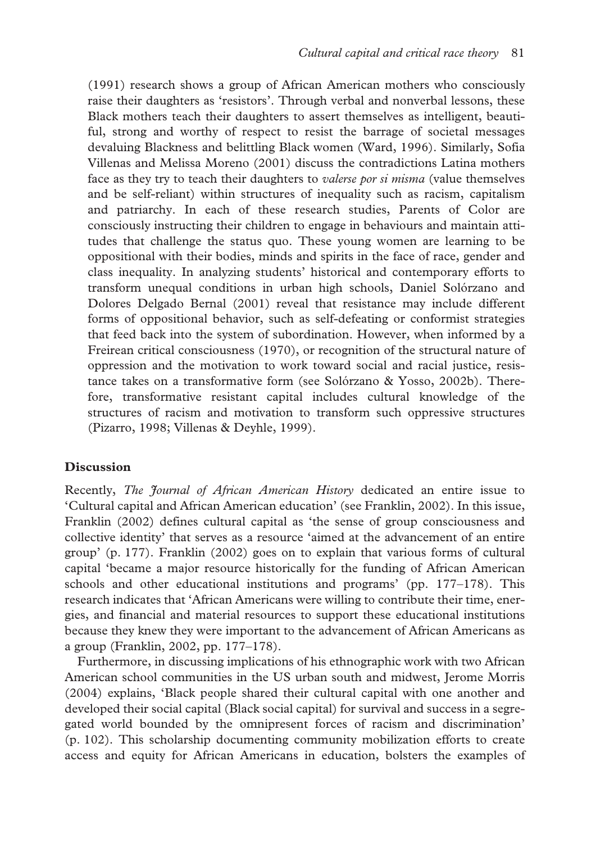(1991) research shows a group of African American mothers who consciously raise their daughters as 'resistors'. Through verbal and nonverbal lessons, these Black mothers teach their daughters to assert themselves as intelligent, beautiful, strong and worthy of respect to resist the barrage of societal messages devaluing Blackness and belittling Black women (Ward, 1996). Similarly, Sofia Villenas and Melissa Moreno (2001) discuss the contradictions Latina mothers face as they try to teach their daughters to *valerse por si misma* (value themselves and be self-reliant) within structures of inequality such as racism, capitalism and patriarchy. In each of these research studies, Parents of Color are consciously instructing their children to engage in behaviours and maintain attitudes that challenge the status quo. These young women are learning to be oppositional with their bodies, minds and spirits in the face of race, gender and class inequality. In analyzing students' historical and contemporary efforts to transform unequal conditions in urban high schools, Daniel Solórzano and Dolores Delgado Bernal (2001) reveal that resistance may include different forms of oppositional behavior, such as self-defeating or conformist strategies that feed back into the system of subordination. However, when informed by a Freirean critical consciousness (1970), or recognition of the structural nature of oppression and the motivation to work toward social and racial justice, resistance takes on a transformative form (see Solórzano & Yosso, 2002b). Therefore, transformative resistant capital includes cultural knowledge of the structures of racism and motivation to transform such oppressive structures (Pizarro, 1998; Villenas & Deyhle, 1999).

#### **Discussion**

Recently, *The Journal of African American History* dedicated an entire issue to 'Cultural capital and African American education' (see Franklin, 2002). In this issue, Franklin (2002) defines cultural capital as 'the sense of group consciousness and collective identity' that serves as a resource 'aimed at the advancement of an entire group' (p. 177). Franklin (2002) goes on to explain that various forms of cultural capital 'became a major resource historically for the funding of African American schools and other educational institutions and programs' (pp. 177–178). This research indicates that 'African Americans were willing to contribute their time, energies, and financial and material resources to support these educational institutions because they knew they were important to the advancement of African Americans as a group (Franklin, 2002, pp. 177–178).

Furthermore, in discussing implications of his ethnographic work with two African American school communities in the US urban south and midwest, Jerome Morris (2004) explains, 'Black people shared their cultural capital with one another and developed their social capital (Black social capital) for survival and success in a segregated world bounded by the omnipresent forces of racism and discrimination' (p. 102). This scholarship documenting community mobilization efforts to create access and equity for African Americans in education, bolsters the examples of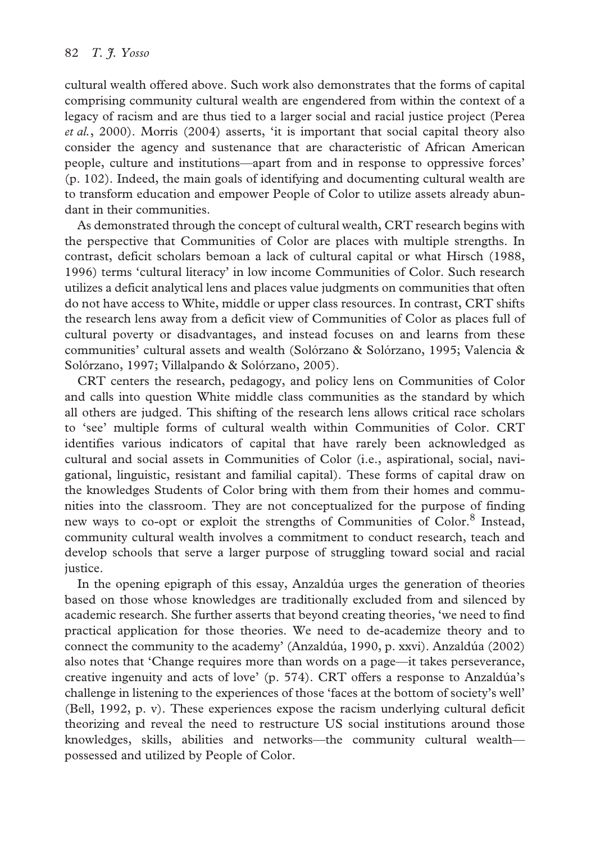cultural wealth offered above. Such work also demonstrates that the forms of capital comprising community cultural wealth are engendered from within the context of a legacy of racism and are thus tied to a larger social and racial justice project (Perea *et al.*, 2000). Morris (2004) asserts, 'it is important that social capital theory also consider the agency and sustenance that are characteristic of African American people, culture and institutions—apart from and in response to oppressive forces' (p. 102). Indeed, the main goals of identifying and documenting cultural wealth are to transform education and empower People of Color to utilize assets already abundant in their communities.

As demonstrated through the concept of cultural wealth, CRT research begins with the perspective that Communities of Color are places with multiple strengths. In contrast, deficit scholars bemoan a lack of cultural capital or what Hirsch (1988, 1996) terms 'cultural literacy' in low income Communities of Color. Such research utilizes a deficit analytical lens and places value judgments on communities that often do not have access to White, middle or upper class resources. In contrast, CRT shifts the research lens away from a deficit view of Communities of Color as places full of cultural poverty or disadvantages, and instead focuses on and learns from these communities' cultural assets and wealth (Solórzano & Solórzano, 1995; Valencia & Solórzano, 1997; Villalpando & Solórzano, 2005).

CRT centers the research, pedagogy, and policy lens on Communities of Color and calls into question White middle class communities as the standard by which all others are judged. This shifting of the research lens allows critical race scholars to 'see' multiple forms of cultural wealth within Communities of Color. CRT identifies various indicators of capital that have rarely been acknowledged as cultural and social assets in Communities of Color (i.e., aspirational, social, navigational, linguistic, resistant and familial capital). These forms of capital draw on the knowledges Students of Color bring with them from their homes and communities into the classroom. They are not conceptualized for the purpose of finding new ways to co-opt or exploit the strengths of Communities of Color.<sup>8</sup> Instead, community cultural wealth involves a commitment to conduct research, teach and develop schools that serve a larger purpose of struggling toward social and racial justice.

In the opening epigraph of this essay, Anzaldúa urges the generation of theories based on those whose knowledges are traditionally excluded from and silenced by academic research. She further asserts that beyond creating theories, 'we need to find practical application for those theories. We need to de-academize theory and to connect the community to the academy' (Anzaldúa, 1990, p. xxvi). Anzaldúa (2002) also notes that 'Change requires more than words on a page—it takes perseverance, creative ingenuity and acts of love' (p. 574). CRT offers a response to Anzaldúa's challenge in listening to the experiences of those 'faces at the bottom of society's well' (Bell, 1992, p. v). These experiences expose the racism underlying cultural deficit theorizing and reveal the need to restructure US social institutions around those knowledges, skills, abilities and networks—the community cultural wealth possessed and utilized by People of Color.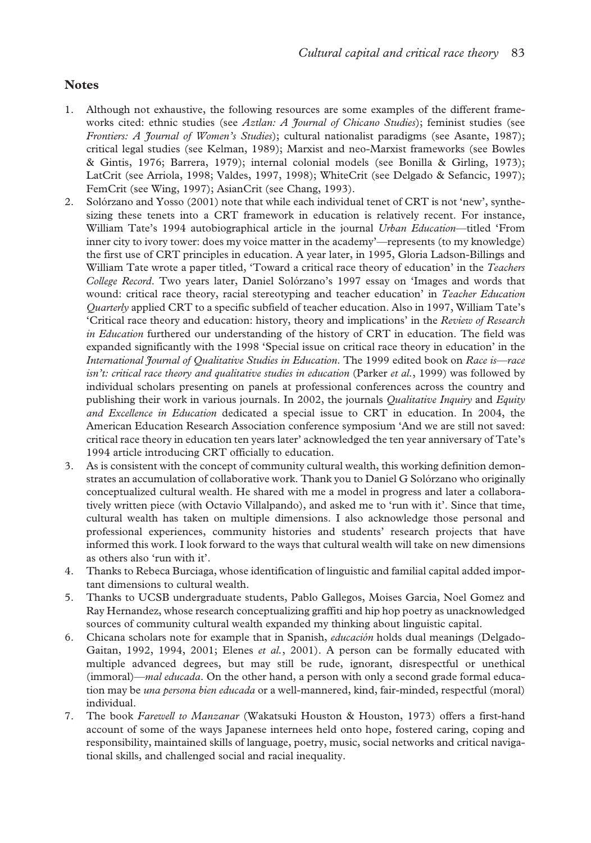# **Notes**

- 1. Although not exhaustive, the following resources are some examples of the different frameworks cited: ethnic studies (see *Aztlan: A Journal of Chicano Studies*); feminist studies (see *Frontiers: A Journal of Women's Studies*); cultural nationalist paradigms (see Asante, 1987); critical legal studies (see Kelman, 1989); Marxist and neo-Marxist frameworks (see Bowles & Gintis, 1976; Barrera, 1979); internal colonial models (see Bonilla & Girling, 1973); LatCrit (see Arriola, 1998; Valdes, 1997, 1998); WhiteCrit (see Delgado & Sefancic, 1997); FemCrit (see Wing, 1997); AsianCrit (see Chang, 1993).
- 2. Solórzano and Yosso (2001) note that while each individual tenet of CRT is not 'new', synthesizing these tenets into a CRT framework in education is relatively recent. For instance, William Tate's 1994 autobiographical article in the journal *Urban Education*—titled 'From inner city to ivory tower: does my voice matter in the academy'—represents (to my knowledge) the first use of CRT principles in education. A year later, in 1995, Gloria Ladson-Billings and William Tate wrote a paper titled, 'Toward a critical race theory of education' in the *Teachers College Record*. Two years later, Daniel Solórzano's 1997 essay on 'Images and words that wound: critical race theory, racial stereotyping and teacher education' in *Teacher Education Quarterly* applied CRT to a specific subfield of teacher education. Also in 1997, William Tate's 'Critical race theory and education: history, theory and implications' in the *Review of Research in Education* furthered our understanding of the history of CRT in education. The field was expanded significantly with the 1998 'Special issue on critical race theory in education' in the *International Journal of Qualitative Studies in Education*. The 1999 edited book on *Race is—race isn't: critical race theory and qualitative studies in education* (Parker *et al.*, 1999) was followed by individual scholars presenting on panels at professional conferences across the country and publishing their work in various journals. In 2002, the journals *Qualitative Inquiry* and *Equity and Excellence in Education* dedicated a special issue to CRT in education. In 2004, the American Education Research Association conference symposium 'And we are still not saved: critical race theory in education ten years later' acknowledged the ten year anniversary of Tate's 1994 article introducing CRT officially to education.
- 3. As is consistent with the concept of community cultural wealth, this working definition demonstrates an accumulation of collaborative work. Thank you to Daniel G Solórzano who originally conceptualized cultural wealth. He shared with me a model in progress and later a collaboratively written piece (with Octavio Villalpando), and asked me to 'run with it'. Since that time, cultural wealth has taken on multiple dimensions. I also acknowledge those personal and professional experiences, community histories and students' research projects that have informed this work. I look forward to the ways that cultural wealth will take on new dimensions as others also 'run with it'.
- 4. Thanks to Rebeca Burciaga, whose identification of linguistic and familial capital added important dimensions to cultural wealth.
- 5. Thanks to UCSB undergraduate students, Pablo Gallegos, Moises Garcia, Noel Gomez and Ray Hernandez, whose research conceptualizing graffiti and hip hop poetry as unacknowledged sources of community cultural wealth expanded my thinking about linguistic capital.
- 6. Chicana scholars note for example that in Spanish, *educación* holds dual meanings (Delgado-Gaitan, 1992, 1994, 2001; Elenes *et al.*, 2001). A person can be formally educated with multiple advanced degrees, but may still be rude, ignorant, disrespectful or unethical (immoral)—*mal educada*. On the other hand, a person with only a second grade formal education may be *una persona bien educada* or a well-mannered, kind, fair-minded, respectful (moral) individual.
- 7. The book *Farewell to Manzanar* (Wakatsuki Houston & Houston, 1973) offers a first-hand account of some of the ways Japanese internees held onto hope, fostered caring, coping and responsibility, maintained skills of language, poetry, music, social networks and critical navigational skills, and challenged social and racial inequality.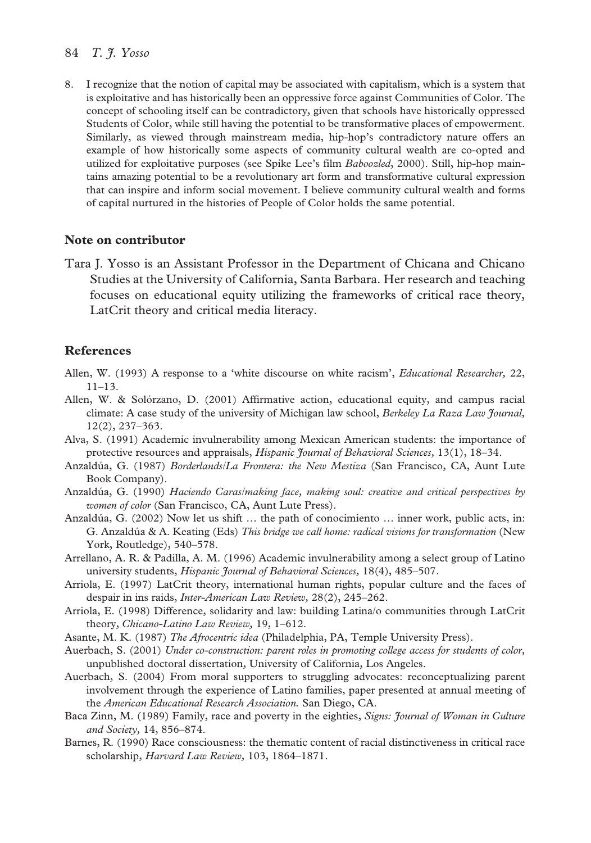#### 84 *T. J. Yosso*

8. I recognize that the notion of capital may be associated with capitalism, which is a system that is exploitative and has historically been an oppressive force against Communities of Color. The concept of schooling itself can be contradictory, given that schools have historically oppressed Students of Color, while still having the potential to be transformative places of empowerment. Similarly, as viewed through mainstream media, hip-hop's contradictory nature offers an example of how historically some aspects of community cultural wealth are co-opted and utilized for exploitative purposes (see Spike Lee's film *Baboozled*, 2000). Still, hip-hop maintains amazing potential to be a revolutionary art form and transformative cultural expression that can inspire and inform social movement. I believe community cultural wealth and forms of capital nurtured in the histories of People of Color holds the same potential.

#### **Note on contributor**

Tara J. Yosso is an Assistant Professor in the Department of Chicana and Chicano Studies at the University of California, Santa Barbara. Her research and teaching focuses on educational equity utilizing the frameworks of critical race theory, LatCrit theory and critical media literacy.

# **References**

- Allen, W. (1993) A response to a 'white discourse on white racism', *Educational Researcher,* 22, 11–13.
- Allen, W. & Solórzano, D. (2001) Affirmative action, educational equity, and campus racial climate: A case study of the university of Michigan law school, *Berkeley La Raza Law Journal,* 12(2), 237–363.
- Alva, S. (1991) Academic invulnerability among Mexican American students: the importance of protective resources and appraisals, *Hispanic Journal of Behavioral Sciences,* 13(1), 18–34.
- Anzaldúa, G. (1987) *Borderlands/La Frontera: the New Mestiza* (San Francisco, CA, Aunt Lute Book Company).
- Anzaldúa, G. (1990) *Haciendo Caras/making face, making soul: creative and critical perspectives by women of color* (San Francisco, CA, Aunt Lute Press).
- Anzaldúa, G. (2002) Now let us shift … the path of conocimiento … inner work, public acts, in: G. Anzaldúa & A. Keating (Eds) *This bridge we call home: radical visions for transformation* (New York, Routledge), 540–578.
- Arrellano, A. R. & Padilla, A. M. (1996) Academic invulnerability among a select group of Latino university students, *Hispanic Journal of Behavioral Sciences,* 18(4), 485–507.
- Arriola, E. (1997) LatCrit theory, international human rights, popular culture and the faces of despair in ins raids, *Inter-American Law Review,* 28(2), 245–262.
- Arriola, E. (1998) Difference, solidarity and law: building Latina/o communities through LatCrit theory, *Chicano-Latino Law Review,* 19, 1–612.
- Asante, M. K. (1987) *The Afrocentric idea* (Philadelphia, PA, Temple University Press).
- Auerbach, S. (2001) *Under co-construction: parent roles in promoting college access for students of color,* unpublished doctoral dissertation, University of California, Los Angeles.
- Auerbach, S. (2004) From moral supporters to struggling advocates: reconceptualizing parent involvement through the experience of Latino families, paper presented at annual meeting of the *American Educational Research Association.* San Diego, CA.
- Baca Zinn, M. (1989) Family, race and poverty in the eighties, *Signs: Journal of Woman in Culture and Society,* 14, 856–874.
- Barnes, R. (1990) Race consciousness: the thematic content of racial distinctiveness in critical race scholarship, *Harvard Law Review,* 103, 1864–1871.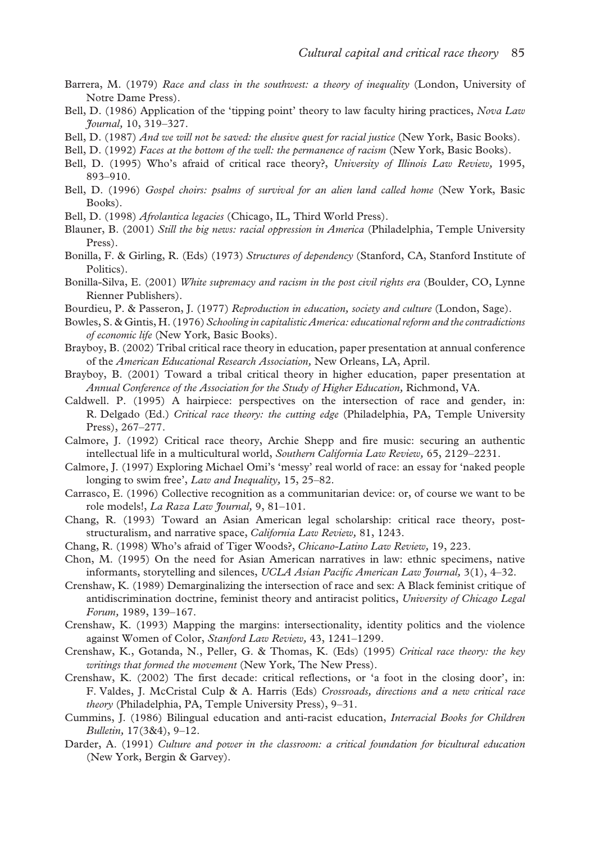- Barrera, M. (1979) *Race and class in the southwest: a theory of inequality* (London, University of Notre Dame Press).
- Bell, D. (1986) Application of the 'tipping point' theory to law faculty hiring practices, *Nova Law Journal,* 10, 319–327.
- Bell, D. (1987) *And we will not be saved: the elusive quest for racial justice* (New York, Basic Books).
- Bell, D. (1992) *Faces at the bottom of the well: the permanence of racism* (New York, Basic Books).
- Bell, D. (1995) Who's afraid of critical race theory?, *University of Illinois Law Review,* 1995, 893–910.
- Bell, D. (1996) *Gospel choirs: psalms of survival for an alien land called home* (New York, Basic Books).
- Bell, D. (1998) *Afrolantica legacies* (Chicago, IL, Third World Press).
- Blauner, B. (2001) *Still the big news: racial oppression in America* (Philadelphia, Temple University Press).
- Bonilla, F. & Girling, R. (Eds) (1973) *Structures of dependency* (Stanford, CA, Stanford Institute of Politics).
- Bonilla-Silva, E. (2001) *White supremacy and racism in the post civil rights era* (Boulder, CO, Lynne Rienner Publishers).
- Bourdieu, P. & Passeron, J. (1977) *Reproduction in education, society and culture* (London, Sage).
- Bowles, S. & Gintis, H. (1976) *Schooling in capitalistic America: educational reform and the contradictions of economic life* (New York, Basic Books).
- Brayboy, B. (2002) Tribal critical race theory in education, paper presentation at annual conference of the *American Educational Research Association,* New Orleans, LA, April.
- Brayboy, B. (2001) Toward a tribal critical theory in higher education, paper presentation at *Annual Conference of the Association for the Study of Higher Education,* Richmond, VA.
- Caldwell. P. (1995) A hairpiece: perspectives on the intersection of race and gender, in: R. Delgado (Ed.) *Critical race theory: the cutting edge* (Philadelphia, PA, Temple University Press), 267–277.
- Calmore, J. (1992) Critical race theory, Archie Shepp and fire music: securing an authentic intellectual life in a multicultural world, *Southern California Law Review,* 65, 2129–2231.
- Calmore, J. (1997) Exploring Michael Omi's 'messy' real world of race: an essay for 'naked people longing to swim free', *Law and Inequality,* 15, 25–82.
- Carrasco, E. (1996) Collective recognition as a communitarian device: or, of course we want to be role models!, *La Raza Law Journal,* 9, 81–101.
- Chang, R. (1993) Toward an Asian American legal scholarship: critical race theory, poststructuralism, and narrative space, *California Law Review,* 81, 1243.
- Chang, R. (1998) Who's afraid of Tiger Woods?, *Chicano-Latino Law Review,* 19, 223.
- Chon, M. (1995) On the need for Asian American narratives in law: ethnic specimens, native informants, storytelling and silences, *UCLA Asian Pacific American Law Journal,* 3(1), 4–32.
- Crenshaw, K. (1989) Demarginalizing the intersection of race and sex: A Black feminist critique of antidiscrimination doctrine, feminist theory and antiracist politics, *University of Chicago Legal Forum,* 1989, 139–167.
- Crenshaw, K. (1993) Mapping the margins: intersectionality, identity politics and the violence against Women of Color, *Stanford Law Review,* 43, 1241–1299.
- Crenshaw, K., Gotanda, N., Peller, G. & Thomas, K. (Eds) (1995) *Critical race theory: the key writings that formed the movement* (New York, The New Press).
- Crenshaw, K. (2002) The first decade: critical reflections, or 'a foot in the closing door', in: F. Valdes, J. McCristal Culp & A. Harris (Eds) *Crossroads, directions and a new critical race theory* (Philadelphia, PA, Temple University Press), 9–31.
- Cummins, J. (1986) Bilingual education and anti-racist education, *Interracial Books for Children Bulletin,* 17(3&4), 9–12.
- Darder, A. (1991) *Culture and power in the classroom: a critical foundation for bicultural education* (New York, Bergin & Garvey).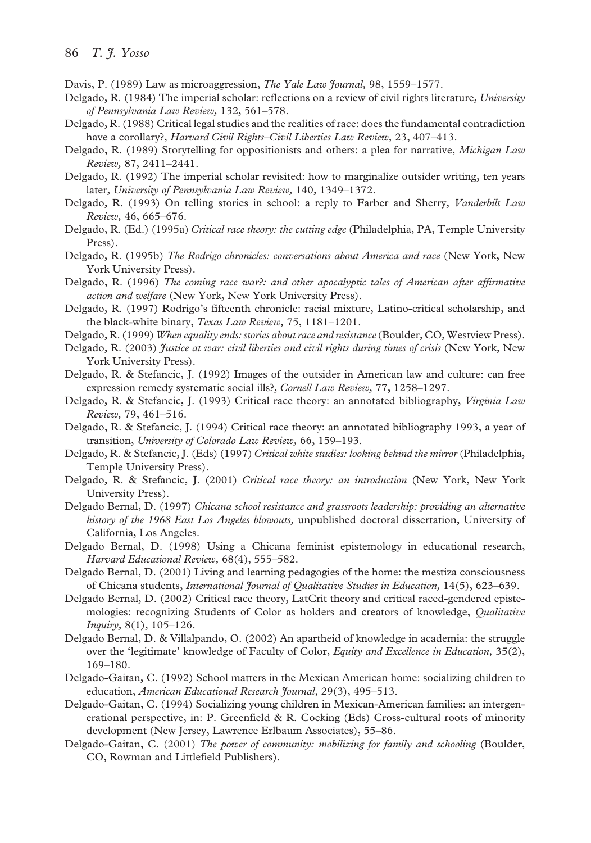- Davis, P. (1989) Law as microaggression, *The Yale Law Journal,* 98, 1559–1577.
- Delgado, R. (1984) The imperial scholar: reflections on a review of civil rights literature, *University of Pennsylvania Law Review,* 132, 561–578.
- Delgado, R. (1988) Critical legal studies and the realities of race: does the fundamental contradiction have a corollary?, *Harvard Civil Rights–Civil Liberties Law Review,* 23, 407–413.
- Delgado, R. (1989) Storytelling for oppositionists and others: a plea for narrative, *Michigan Law Review,* 87, 2411–2441.
- Delgado, R. (1992) The imperial scholar revisited: how to marginalize outsider writing, ten years later, *University of Pennsylvania Law Review,* 140, 1349–1372.
- Delgado, R. (1993) On telling stories in school: a reply to Farber and Sherry, *Vanderbilt Law Review,* 46, 665–676.
- Delgado, R. (Ed.) (1995a) *Critical race theory: the cutting edge* (Philadelphia, PA, Temple University Press).
- Delgado, R. (1995b) *The Rodrigo chronicles: conversations about America and race* (New York, New York University Press).
- Delgado, R. (1996) *The coming race war?: and other apocalyptic tales of American after affirmative action and welfare* (New York, New York University Press).
- Delgado, R. (1997) Rodrigo's fifteenth chronicle: racial mixture, Latino-critical scholarship, and the black-white binary, *Texas Law Review,* 75, 1181–1201.
- Delgado, R. (1999)*When equality ends: stories about race and resistance*(Boulder, CO, Westview Press).
- Delgado, R. (2003) *Justice at war: civil liberties and civil rights during times of crisis* (New York, New York University Press).
- Delgado, R. & Stefancic, J. (1992) Images of the outsider in American law and culture: can free expression remedy systematic social ills?, *Cornell Law Review,* 77, 1258–1297.
- Delgado, R. & Stefancic, J. (1993) Critical race theory: an annotated bibliography, *Virginia Law Review,* 79, 461–516.
- Delgado, R. & Stefancic, J. (1994) Critical race theory: an annotated bibliography 1993, a year of transition, *University of Colorado Law Review,* 66, 159–193.
- Delgado, R. & Stefancic, J. (Eds) (1997) *Critical white studies: looking behind the mirror* (Philadelphia, Temple University Press).
- Delgado, R. & Stefancic, J. (2001) *Critical race theory: an introduction* (New York, New York University Press).
- Delgado Bernal, D. (1997) *Chicana school resistance and grassroots leadership: providing an alternative history of the 1968 East Los Angeles blowouts,* unpublished doctoral dissertation, University of California, Los Angeles.
- Delgado Bernal, D. (1998) Using a Chicana feminist epistemology in educational research, *Harvard Educational Review,* 68(4), 555–582.
- Delgado Bernal, D. (2001) Living and learning pedagogies of the home: the mestiza consciousness of Chicana students, *International Journal of Qualitative Studies in Education,* 14(5), 623–639.
- Delgado Bernal, D. (2002) Critical race theory, LatCrit theory and critical raced-gendered epistemologies: recognizing Students of Color as holders and creators of knowledge, *Qualitative Inquiry,* 8(1), 105–126.
- Delgado Bernal, D. & Villalpando, O. (2002) An apartheid of knowledge in academia: the struggle over the 'legitimate' knowledge of Faculty of Color, *Equity and Excellence in Education,* 35(2), 169–180.
- Delgado-Gaitan, C. (1992) School matters in the Mexican American home: socializing children to education, *American Educational Research Journal,* 29(3), 495–513.
- Delgado-Gaitan, C. (1994) Socializing young children in Mexican-American families: an intergenerational perspective, in: P. Greenfield & R. Cocking (Eds) Cross-cultural roots of minority development (New Jersey, Lawrence Erlbaum Associates), 55–86.
- Delgado-Gaitan, C. (2001) *The power of community: mobilizing for family and schooling* (Boulder, CO, Rowman and Littlefield Publishers).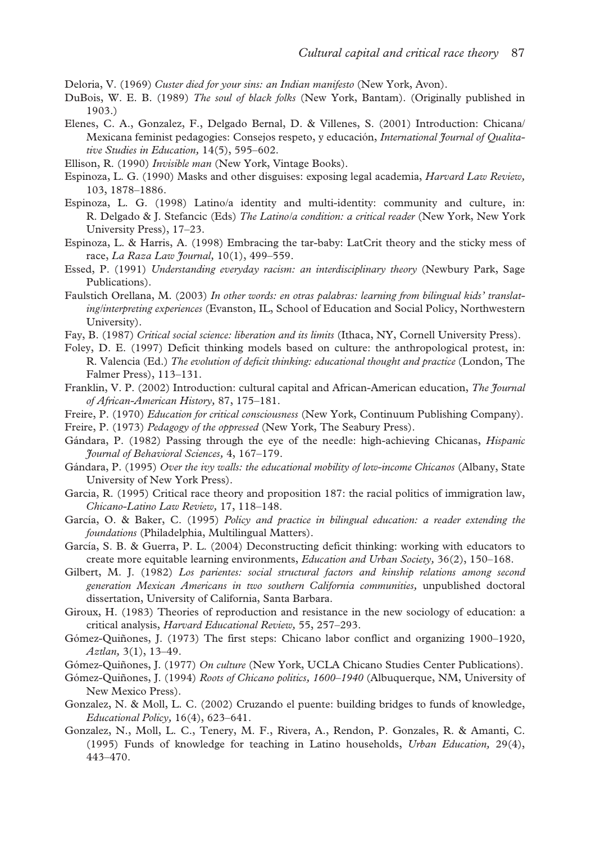Deloria, V. (1969) *Custer died for your sins: an Indian manifesto* (New York, Avon).

- DuBois, W. E. B. (1989) *The soul of black folks* (New York, Bantam). (Originally published in 1903.)
- Elenes, C. A., Gonzalez, F., Delgado Bernal, D. & Villenes, S. (2001) Introduction: Chicana/ Mexicana feminist pedagogies: Consejos respeto, y educación, *International Journal of Qualitative Studies in Education,* 14(5), 595–602.
- Ellison, R. (1990) *Invisible man* (New York, Vintage Books).
- Espinoza, L. G. (1990) Masks and other disguises: exposing legal academia, *Harvard Law Review,* 103, 1878–1886.
- Espinoza, L. G. (1998) Latino/a identity and multi-identity: community and culture, in: R. Delgado & J. Stefancic (Eds) *The Latino/a condition: a critical reader* (New York, New York University Press), 17–23.
- Espinoza, L. & Harris, A. (1998) Embracing the tar-baby: LatCrit theory and the sticky mess of race, *La Raza Law Journal,* 10(1), 499–559.
- Essed, P. (1991) *Understanding everyday racism: an interdisciplinary theory* (Newbury Park, Sage Publications).
- Faulstich Orellana, M. (2003) *In other words: en otras palabras: learning from bilingual kids' translating/interpreting experiences* (Evanston, IL, School of Education and Social Policy, Northwestern University).
- Fay, B. (1987) *Critical social science: liberation and its limits* (Ithaca, NY, Cornell University Press).
- Foley, D. E. (1997) Deficit thinking models based on culture: the anthropological protest, in: R. Valencia (Ed.) *The evolution of deficit thinking: educational thought and practice* (London, The Falmer Press), 113–131.
- Franklin, V. P. (2002) Introduction: cultural capital and African-American education, *The Journal of African-American History,* 87, 175–181.
- Freire, P. (1970) *Education for critical consciousness* (New York, Continuum Publishing Company).

Freire, P. (1973) *Pedagogy of the oppressed* (New York, The Seabury Press).

- Gándara, P. (1982) Passing through the eye of the needle: high-achieving Chicanas, *Hispanic Journal of Behavioral Sciences,* 4, 167–179.
- Gándara, P. (1995) *Over the ivy walls: the educational mobility of low-income Chicanos* (Albany, State University of New York Press).
- Garcia, R. (1995) Critical race theory and proposition 187: the racial politics of immigration law, *Chicano-Latino Law Review,* 17, 118–148.
- García, O. & Baker, C. (1995) *Policy and practice in bilingual education: a reader extending the foundations* (Philadelphia, Multilingual Matters).
- García, S. B. & Guerra, P. L. (2004) Deconstructing deficit thinking: working with educators to create more equitable learning environments, *Education and Urban Society,* 36(2), 150–168.
- Gilbert, M. J. (1982) *Los parientes: social structural factors and kinship relations among second generation Mexican Americans in two southern California communities,* unpublished doctoral dissertation, University of California, Santa Barbara.
- Giroux, H. (1983) Theories of reproduction and resistance in the new sociology of education: a critical analysis, *Harvard Educational Review,* 55, 257–293.
- Gómez-Quiñones, J. (1973) The first steps: Chicano labor conflict and organizing 1900–1920, *Aztlan,* 3(1), 13–49.
- Gómez-Quiñones, J. (1977) *On culture* (New York, UCLA Chicano Studies Center Publications).
- Gómez-Quiñones, J. (1994) *Roots of Chicano politics, 1600–1940* (Albuquerque, NM, University of New Mexico Press).
- Gonzalez, N. & Moll, L. C. (2002) Cruzando el puente: building bridges to funds of knowledge, *Educational Policy,* 16(4), 623–641.
- Gonzalez, N., Moll, L. C., Tenery, M. F., Rivera, A., Rendon, P. Gonzales, R. & Amanti, C. (1995) Funds of knowledge for teaching in Latino households, *Urban Education,* 29(4), 443–470.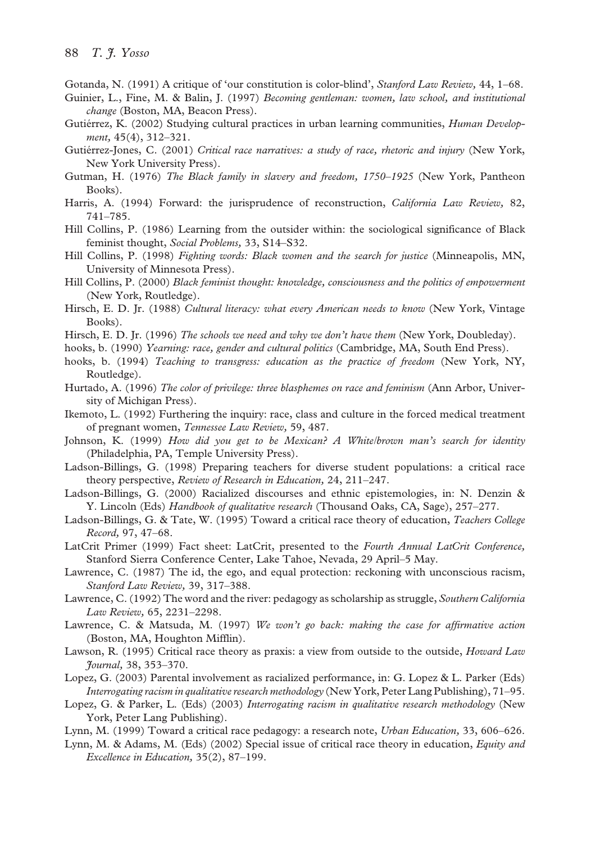Gotanda, N. (1991) A critique of 'our constitution is color-blind', *Stanford Law Review,* 44, 1–68.

- Guinier, L., Fine, M. & Balin, J. (1997) *Becoming gentleman: women, law school, and institutional change* (Boston, MA, Beacon Press).
- Gutiérrez, K. (2002) Studying cultural practices in urban learning communities, *Human Development,* 45(4), 312–321.
- Gutiérrez-Jones, C. (2001) *Critical race narratives: a study of race, rhetoric and injury* (New York, New York University Press).
- Gutman, H. (1976) *The Black family in slavery and freedom, 1750–1925* (New York, Pantheon Books).
- Harris, A. (1994) Forward: the jurisprudence of reconstruction, *California Law Review,* 82, 741–785.
- Hill Collins, P. (1986) Learning from the outsider within: the sociological significance of Black feminist thought, *Social Problems,* 33, S14–S32.
- Hill Collins, P. (1998) *Fighting words: Black women and the search for justice* (Minneapolis, MN, University of Minnesota Press).
- Hill Collins, P. (2000) *Black feminist thought: knowledge, consciousness and the politics of empowerment* (New York, Routledge).
- Hirsch, E. D. Jr. (1988) *Cultural literacy: what every American needs to know* (New York, Vintage Books).
- Hirsch, E. D. Jr. (1996) *The schools we need and why we don't have them* (New York, Doubleday).
- hooks, b. (1990) *Yearning: race, gender and cultural politics* (Cambridge, MA, South End Press).
- hooks, b. (1994) *Teaching to transgress: education as the practice of freedom* (New York, NY, Routledge).
- Hurtado, A. (1996) *The color of privilege: three blasphemes on race and feminism* (Ann Arbor, University of Michigan Press).
- Ikemoto, L. (1992) Furthering the inquiry: race, class and culture in the forced medical treatment of pregnant women, *Tennessee Law Review,* 59, 487.
- Johnson, K. (1999) *How did you get to be Mexican? A White/brown man's search for identity* (Philadelphia, PA, Temple University Press).
- Ladson-Billings, G. (1998) Preparing teachers for diverse student populations: a critical race theory perspective, *Review of Research in Education,* 24, 211–247.
- Ladson-Billings, G. (2000) Racialized discourses and ethnic epistemologies, in: N. Denzin & Y. Lincoln (Eds) *Handbook of qualitative research* (Thousand Oaks, CA, Sage), 257–277.
- Ladson-Billings, G. & Tate, W. (1995) Toward a critical race theory of education, *Teachers College Record,* 97, 47–68.
- LatCrit Primer (1999) Fact sheet: LatCrit, presented to the *Fourth Annual LatCrit Conference,* Stanford Sierra Conference Center, Lake Tahoe, Nevada, 29 April–5 May.
- Lawrence, C. (1987) The id, the ego, and equal protection: reckoning with unconscious racism, *Stanford Law Review,* 39, 317–388.
- Lawrence, C. (1992) The word and the river: pedagogy as scholarship as struggle, *Southern California Law Review,* 65, 2231–2298.
- Lawrence, C. & Matsuda, M. (1997) *We won't go back: making the case for affirmative action* (Boston, MA, Houghton Mifflin).
- Lawson, R. (1995) Critical race theory as praxis: a view from outside to the outside, *Howard Law Journal,* 38, 353–370.
- Lopez, G. (2003) Parental involvement as racialized performance, in: G. Lopez & L. Parker (Eds) *Interrogating racism in qualitative research methodology* (New York, Peter Lang Publishing), 71–95.
- Lopez, G. & Parker, L. (Eds) (2003) *Interrogating racism in qualitative research methodology* (New York, Peter Lang Publishing).
- Lynn, M. (1999) Toward a critical race pedagogy: a research note, *Urban Education,* 33, 606–626.
- Lynn, M. & Adams, M. (Eds) (2002) Special issue of critical race theory in education, *Equity and Excellence in Education,* 35(2), 87–199.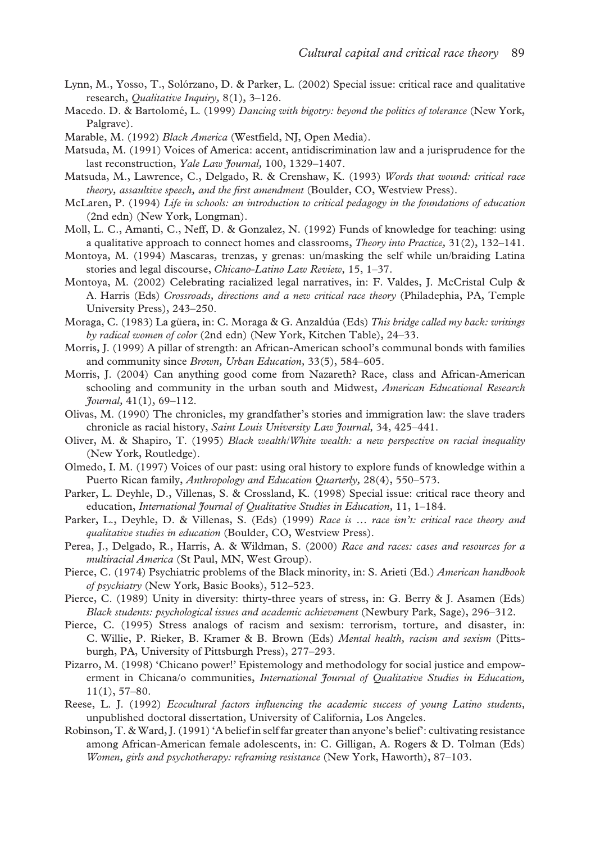- Lynn, M., Yosso, T., Solórzano, D. & Parker, L. (2002) Special issue: critical race and qualitative research, *Qualitative Inquiry,* 8(1), 3–126.
- Macedo. D. & Bartolomé, L. (1999) *Dancing with bigotry: beyond the politics of tolerance* (New York, Palgrave).
- Marable, M. (1992) *Black America* (Westfield, NJ, Open Media).
- Matsuda, M. (1991) Voices of America: accent, antidiscrimination law and a jurisprudence for the last reconstruction, *Yale Law Journal,* 100, 1329–1407.
- Matsuda, M., Lawrence, C., Delgado, R. & Crenshaw, K. (1993) *Words that wound: critical race theory, assaultive speech, and the first amendment* (Boulder, CO, Westview Press).
- McLaren, P. (1994) *Life in schools: an introduction to critical pedagogy in the foundations of education* (2nd edn) (New York, Longman).
- Moll, L. C., Amanti, C., Neff, D. & Gonzalez, N. (1992) Funds of knowledge for teaching: using a qualitative approach to connect homes and classrooms, *Theory into Practice,* 31(2), 132–141.
- Montoya, M. (1994) Mascaras, trenzas, y grenas: un/masking the self while un/braiding Latina stories and legal discourse, *Chicano-Latino Law Review,* 15, 1–37.
- Montoya, M. (2002) Celebrating racialized legal narratives, in: F. Valdes, J. McCristal Culp & A. Harris (Eds) *Crossroads, directions and a new critical race theory* (Philadephia, PA, Temple University Press), 243–250.
- Moraga, C. (1983) La güera, in: C. Moraga & G. Anzaldúa (Eds) *This bridge called my back: writings by radical women of color* (2nd edn) (New York, Kitchen Table), 24–33.
- Morris, J. (1999) A pillar of strength: an African-American school's communal bonds with families and community since *Brown, Urban Education,* 33(5), 584–605.
- Morris, J. (2004) Can anything good come from Nazareth? Race, class and African-American schooling and community in the urban south and Midwest, *American Educational Research Journal,* 41(1), 69–112.
- Olivas, M. (1990) The chronicles, my grandfather's stories and immigration law: the slave traders chronicle as racial history, *Saint Louis University Law Journal,* 34, 425–441.
- Oliver, M. & Shapiro, T. (1995) *Black wealth/White wealth: a new perspective on racial inequality* (New York, Routledge).
- Olmedo, I. M. (1997) Voices of our past: using oral history to explore funds of knowledge within a Puerto Rican family, *Anthropology and Education Quarterly,* 28(4), 550–573.
- Parker, L. Deyhle, D., Villenas, S. & Crossland, K. (1998) Special issue: critical race theory and education, *International Journal of Qualitative Studies in Education,* 11, 1–184.
- Parker, L., Deyhle, D. & Villenas, S. (Eds) (1999) *Race is … race isn't: critical race theory and qualitative studies in education* (Boulder, CO, Westview Press).
- Perea, J., Delgado, R., Harris, A. & Wildman, S. (2000) *Race and races: cases and resources for a multiracial America* (St Paul, MN, West Group).
- Pierce, C. (1974) Psychiatric problems of the Black minority, in: S. Arieti (Ed.) *American handbook of psychiatry* (New York, Basic Books), 512–523.
- Pierce, C. (1989) Unity in diversity: thirty-three years of stress, in: G. Berry & J. Asamen (Eds) *Black students: psychological issues and academic achievement* (Newbury Park, Sage), 296–312.
- Pierce, C. (1995) Stress analogs of racism and sexism: terrorism, torture, and disaster, in: C. Willie, P. Rieker, B. Kramer & B. Brown (Eds) *Mental health, racism and sexism* (Pittsburgh, PA, University of Pittsburgh Press), 277–293.
- Pizarro, M. (1998) 'Chicano power!' Epistemology and methodology for social justice and empowerment in Chicana/o communities, *International Journal of Qualitative Studies in Education,* 11(1), 57–80.
- Reese, L. J. (1992) *Ecocultural factors influencing the academic success of young Latino students,* unpublished doctoral dissertation, University of California, Los Angeles.
- Robinson, T. & Ward, J. (1991) 'A belief in self far greater than anyone's belief': cultivating resistance among African-American female adolescents, in: C. Gilligan, A. Rogers & D. Tolman (Eds) *Women, girls and psychotherapy: reframing resistance* (New York, Haworth), 87–103.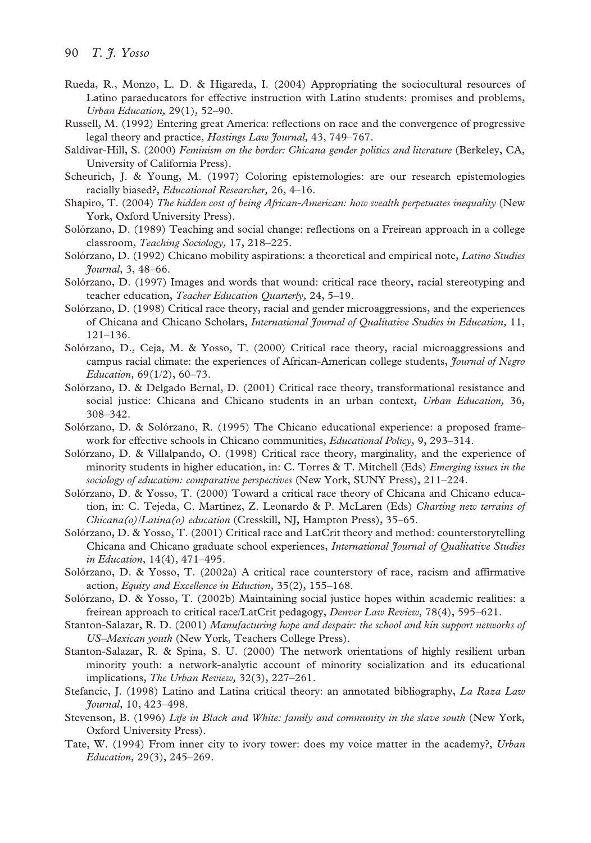- Rueda, R., Monzo, L. D. & Higareda, I. (2004) Appropriating the sociocultural resources of Latino paraeducators for effective instruction with Latino students: promises and problems, *Urban Education,* 29(1), 52–90.
- Russell, M. (1992) Entering great America: reflections on race and the convergence of progressive legal theory and practice, *Hastings Law Journal,* 43, 749–767.
- Saldivar-Hill, S. (2000) *Feminism on the border: Chicana gender politics and literature* (Berkeley, CA, University of California Press).
- Scheurich, J. & Young, M. (1997) Coloring epistemologies: are our research epistemologies racially biased?, *Educational Researcher,* 26, 4–16.
- Shapiro, T. (2004) *The hidden cost of being African-American: how wealth perpetuates inequality* (New York, Oxford University Press).
- Solórzano, D. (1989) Teaching and social change: reflections on a Freirean approach in a college classroom, *Teaching Sociology,* 17, 218–225.
- Solórzano, D. (1992) Chicano mobility aspirations: a theoretical and empirical note, *Latino Studies Journal,* 3, 48–66.
- Solórzano, D. (1997) Images and words that wound: critical race theory, racial stereotyping and teacher education, *Teacher Education Quarterly,* 24, 5–19.
- Solórzano, D. (1998) Critical race theory, racial and gender microaggressions, and the experiences of Chicana and Chicano Scholars, *International Journal of Qualitative Studies in Education,* 11, 121–136.
- Solórzano, D., Ceja, M. & Yosso, T. (2000) Critical race theory, racial microaggressions and campus racial climate: the experiences of African-American college students, *Journal of Negro Education,* 69(1/2), 60–73.
- Solórzano, D. & Delgado Bernal, D. (2001) Critical race theory, transformational resistance and social justice: Chicana and Chicano students in an urban context, *Urban Education,* 36, 308–342.
- Solórzano, D. & Solórzano, R. (1995) The Chicano educational experience: a proposed framework for effective schools in Chicano communities, *Educational Policy,* 9, 293–314.
- Solórzano, D. & Villalpando, O. (1998) Critical race theory, marginality, and the experience of minority students in higher education, in: C. Torres & T. Mitchell (Eds) *Emerging issues in the sociology of education: comparative perspectives* (New York, SUNY Press), 211–224.
- Solórzano, D. & Yosso, T. (2000) Toward a critical race theory of Chicana and Chicano education, in: C. Tejeda, C. Martinez, Z. Leonardo & P. McLaren (Eds) *Charting new terrains of Chicana(o)/Latina(o) education* (Cresskill, NJ, Hampton Press), 35–65.
- Solórzano, D. & Yosso, T. (2001) Critical race and LatCrit theory and method: counterstorytelling Chicana and Chicano graduate school experiences, *International Journal of Qualitative Studies in Education,* 14(4), 471–495.
- Solórzano, D. & Yosso, T. (2002a) A critical race counterstory of race, racism and affirmative action, *Equity and Excellence in Eduction,* 35(2), 155–168.
- Solórzano, D. & Yosso, T. (2002b) Maintaining social justice hopes within academic realities: a freirean approach to critical race/LatCrit pedagogy, *Denver Law Review,* 78(4), 595–621.
- Stanton-Salazar, R. D. (2001) *Manufacturing hope and despair: the school and kin support networks of US–Mexican youth* (New York, Teachers College Press).
- Stanton-Salazar, R. & Spina, S. U. (2000) The network orientations of highly resilient urban minority youth: a network-analytic account of minority socialization and its educational implications, *The Urban Review,* 32(3), 227–261.
- Stefancic, J. (1998) Latino and Latina critical theory: an annotated bibliography, *La Raza Law Journal,* 10, 423–498.
- Stevenson, B. (1996) *Life in Black and White: family and community in the slave south* (New York, Oxford University Press).
- Tate, W. (1994) From inner city to ivory tower: does my voice matter in the academy?, *Urban Education,* 29(3), 245–269.